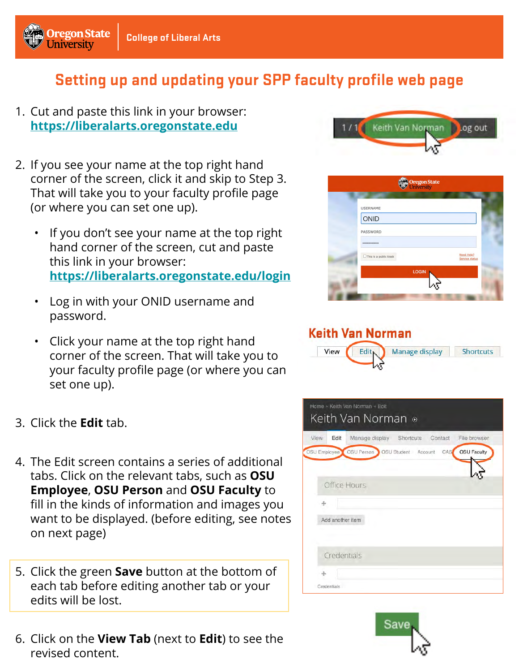

# **Setting up and updating your SPP faculty profile web page**

- 1. Cut and paste this link in your browser: **[https://liberalarts.oregonstate.edu](https://liberalarts.oregonstate.edu/)**
- 2. If you see your name at the top right hand corner of the screen, click it and skip to Step 3. That will take you to your faculty profile page (or where you can set one up).
	- If you don't see your name at the top right hand corner of the screen, cut and paste this link in your browser: **[https://liberalarts.oregonstate.edu/login](https://liberalarts.oregonstate.edu/login/)**
	- Log in with your ONID username and password.
	- Click your name at the top right hand corner of the screen. That will take you to your faculty profile page (or where you can set one up).
- 3. Click the **Edit** tab.
- 4. The Edit screen contains a series of additional tabs. Click on the relevant tabs, such as **OSU Employee**, **OSU Person** and **OSU Faculty** to fill in the kinds of information and images you want to be displayed. (before editing, see notes on next page)
- 5. Click the green **Save** button at the bottom of each tab before editing another tab or your edits will be lost.
- 6. Click on the **View Tab** (next to **Edit**) to see the revised content.





#### **Keith Van Norman**